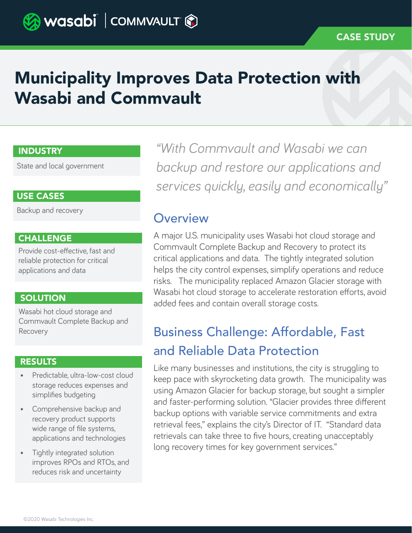# Municipality Improves Data Protection with Wasabi and Commvault

## INDUSTRY

State and local government

## USE CASES

Backup and recovery

## **CHALLENGE**

Provide cost-effective, fast and reliable protection for critical applications and data

## **SOLUTION**

Wasabi hot cloud storage and Commvault Complete Backup and Recovery

### **RESULTS**

- Predictable, ultra-low-cost cloud storage reduces expenses and simplifies budgeting
- Comprehensive backup and recovery product supports wide range of file systems, applications and technologies
- Tightly integrated solution improves RPOs and RTOs, and reduces risk and uncertainty

*"With Commvault and Wasabi we can backup and restore our applications and services quickly, easily and economically"*

## **Overview**

A major U.S. municipality uses Wasabi hot cloud storage and Commvault Complete Backup and Recovery to protect its critical applications and data. The tightly integrated solution helps the city control expenses, simplify operations and reduce risks. The municipality replaced Amazon Glacier storage with Wasabi hot cloud storage to accelerate restoration efforts, avoid added fees and contain overall storage costs.

# Business Challenge: Affordable, Fast and Reliable Data Protection

Like many businesses and institutions, the city is struggling to keep pace with skyrocketing data growth. The municipality was using Amazon Glacier for backup storage, but sought a simpler and faster-performing solution. "Glacier provides three different backup options with variable service commitments and extra retrieval fees," explains the city's Director of IT. "Standard data retrievals can take three to five hours, creating unacceptably long recovery times for key government services."